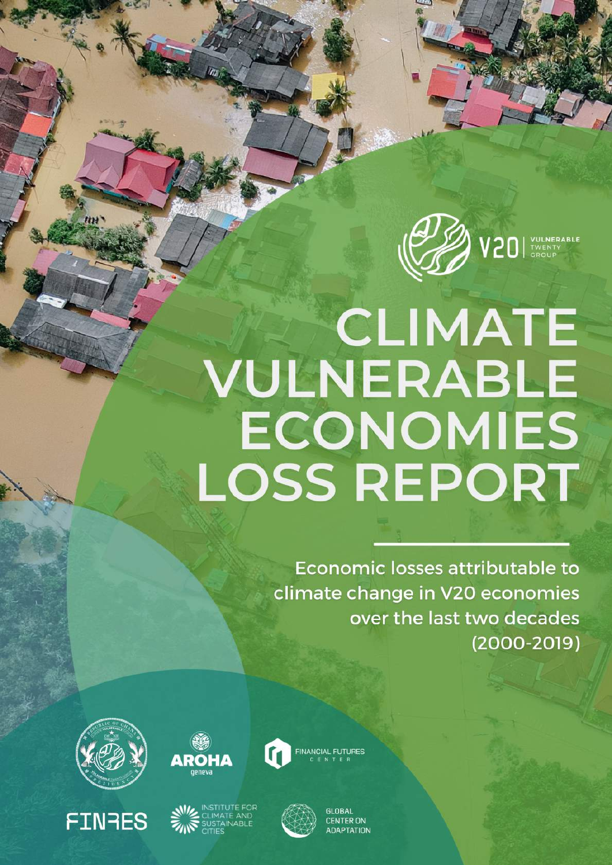

# **CLIMATE** VULNERABLE ECONOMIES **LOSS REPORT**

Economic losses attributable to climate change in V20 economies over the last two decades  $(2000 - 2019)$ 



**FINRES** 





**CENTER ON IDAPTATION**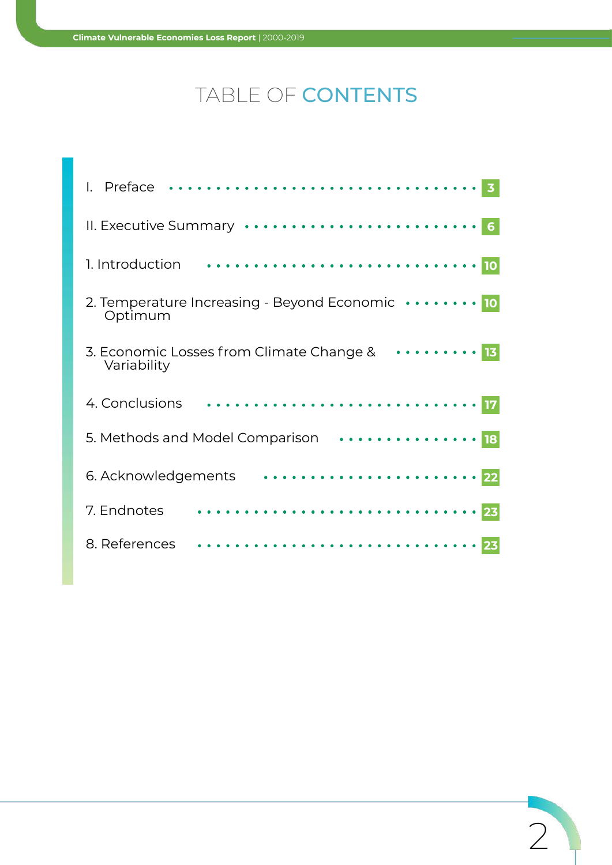## TABLE OF CONTENTS

| Preface                                                                           |
|-----------------------------------------------------------------------------------|
| II. Executive Summary                                                             |
| 1. Introduction                                                                   |
| 2. Temperature Increasing - Beyond Economic $\cdots \cdots \cdots$ 10<br>Optimum  |
| 3. Economic Losses from Climate Change & $\dots\dots\dots\dots$ 13<br>Variability |
| 4. Conclusions                                                                    |
|                                                                                   |
| 6. Acknowledgements                                                               |
| 7. Endnotes                                                                       |
| 8. References                                                                     |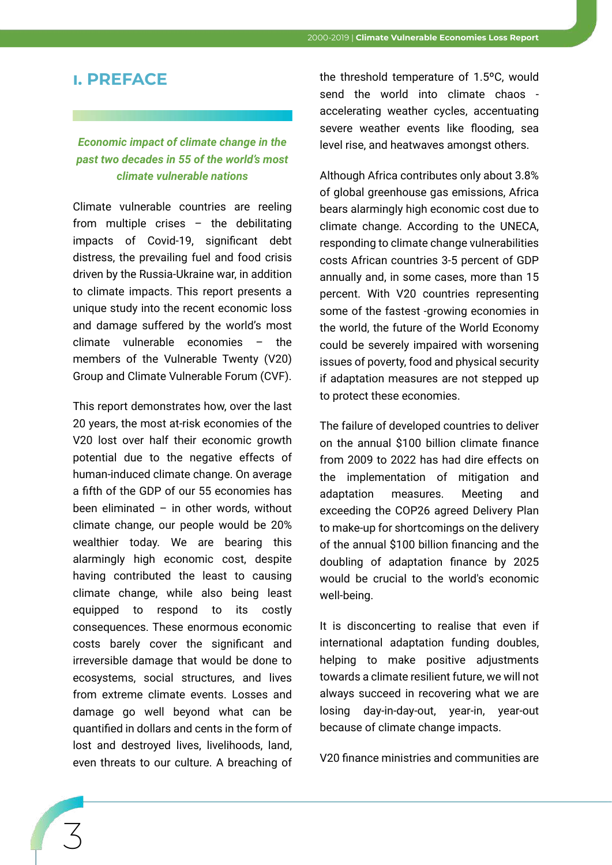#### **i. PREFACE**

#### *Economic impact of climate change in the past two decades in 55 of the world's most climate vulnerable nations*

Climate vulnerable countries are reeling from multiple crises – the debilitating impacts of Covid-19, significant debt distress, the prevailing fuel and food crisis driven by the Russia-Ukraine war, in addition to climate impacts. This report presents a unique study into the recent economic loss and damage suffered by the world's most climate vulnerable economies – the members of the Vulnerable Twenty (V20) Group and Climate Vulnerable Forum (CVF).

This report demonstrates how, over the last 20 years, the most at-risk economies of the V20 lost over half their economic growth potential due to the negative effects of human-induced climate change. On average a fifth of the GDP of our 55 economies has been eliminated  $-$  in other words, without climate change, our people would be 20% wealthier today. We are bearing this alarmingly high economic cost, despite having contributed the least to causing climate change, while also being least equipped to respond to its costly consequences. These enormous economic costs barely cover the significant and irreversible damage that would be done to ecosystems, social structures, and lives from extreme climate events. Losses and damage go well beyond what can be quantified in dollars and cents in the form of lost and destroyed lives, livelihoods, land, even threats to our culture. A breaching of the threshold temperature of 1.5ºC, would send the world into climate chaos accelerating weather cycles, accentuating severe weather events like flooding, sea level rise, and heatwaves amongst others.

Although Africa contributes only about 3.8% of global greenhouse gas emissions, Africa bears alarmingly high economic cost due to climate change. According to the UNECA, responding to climate change vulnerabilities costs African countries 3-5 percent of GDP annually and, in some cases, more than 15 percent. With V20 countries representing some of the fastest -growing economies in the world, the future of the World Economy could be severely impaired with worsening issues of poverty, food and physical security if adaptation measures are not stepped up to protect these economies.

The failure of developed countries to deliver on the annual \$100 billion climate finance from 2009 to 2022 has had dire effects on the implementation of mitigation and adaptation measures. Meeting and exceeding the COP26 agreed Delivery Plan to make-up for shortcomings on the delivery of the annual \$100 billion financing and the doubling of adaptation finance by 2025 would be crucial to the world's economic well-being.

It is disconcerting to realise that even if international adaptation funding doubles, helping to make positive adjustments towards a climate resilient future, we will not always succeed in recovering what we are losing day-in-day-out, year-in, year-out because of climate change impacts.

V20 finance ministries and communities are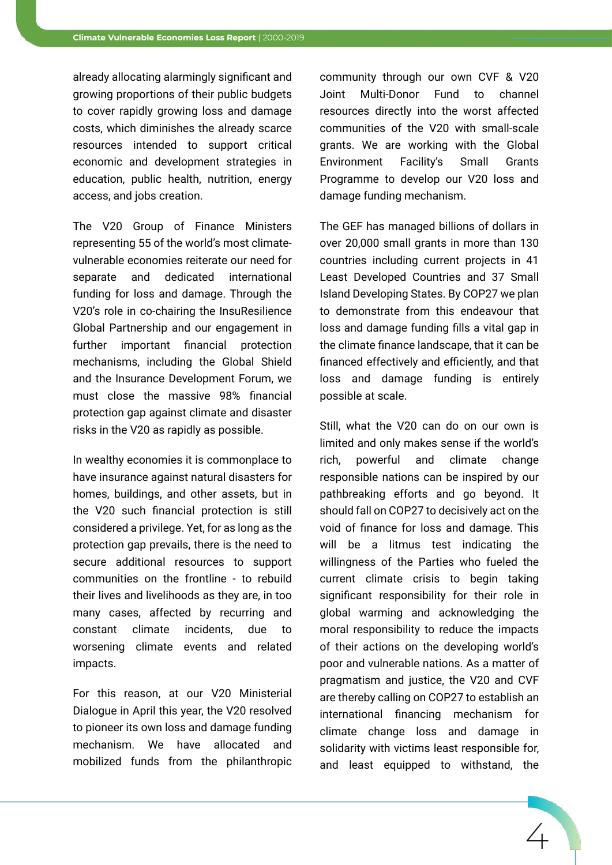already allocating alarmingly significant and growing proportions of their public budgets to cover rapidly growing loss and damage costs, which diminishes the already scarce resources intended to support critical economic and development strategies in education, public health, nutrition, energy access, and jobs creation.

The V20 Group of Finance Ministers representing 55 of the world's most climatevulnerable economies reiterate our need for separate and dedicated international funding for loss and damage. Through the V20's role in co-chairing the InsuResilience Global Partnership and our engagement in further important financial protection mechanisms, including the Global Shield and the Insurance Development Forum, we must close the massive 98% financial protection gap against climate and disaster risks in the V20 as rapidly as possible.

In wealthy economies it is commonplace to have insurance against natural disasters for homes, buildings, and other assets, but in the V20 such financial protection is still considered a privilege. Yet, for as long as the protection gap prevails, there is the need to secure additional resources to support communities on the frontline - to rebuild their lives and livelihoods as they are, in too many cases, affected by recurring and constant climate incidents, due to worsening climate events and related impacts.

For this reason, at our V20 Ministerial Dialogue in April this year, the V20 resolved to pioneer its own loss and damage funding mechanism. We have allocated and mobilized funds from the philanthropic

community through our own CVF & V20 Joint Multi-Donor Fund to channel resources directly into the worst affected communities of the V20 with small-scale grants. We are working with the Global Environment Facility's Small Grants Programme to develop our V20 loss and damage funding mechanism.

The GEF has managed billions of dollars in over 20,000 small grants in more than 130 countries including current projects in 41 Least Developed Countries and 37 Small Island Developing States. By COP27 we plan to demonstrate from this endeavour that loss and damage funding fills a vital gap in the climate finance landscape, that it can be financed effectively and efficiently, and that loss and damage funding is entirely possible at scale.

Still, what the V20 can do on our own is limited and only makes sense if the world's rich, powerful and climate change responsible nations can be inspired by our pathbreaking efforts and go beyond. It should fall on COP27 to decisively act on the void of finance for loss and damage. This will be a litmus test indicating the willingness of the Parties who fueled the current climate crisis to begin taking significant responsibility for their role in global warming and acknowledging the moral responsibility to reduce the impacts of their actions on the developing world's poor and vulnerable nations. As a matter of pragmatism and justice, the V20 and CVF are thereby calling on COP27 to establish an international financing mechanism for climate change loss and damage in solidarity with victims least responsible for, and least equipped to withstand, the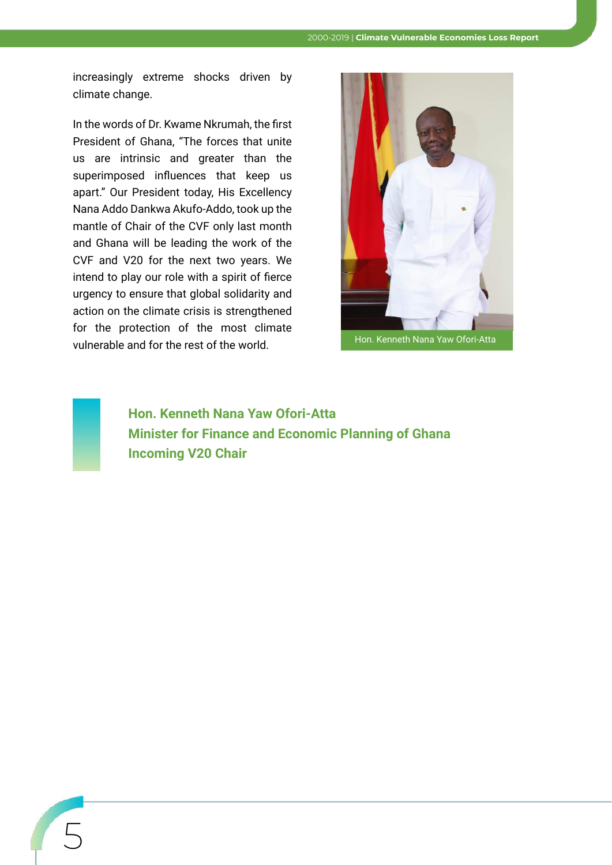increasingly extreme shocks driven by climate change.

In the words of Dr. Kwame Nkrumah, the first President of Ghana, "The forces that unite us are intrinsic and greater than the superimposed influences that keep us apart." Our President today, His Excellency Nana Addo Dankwa Akufo-Addo, took up the mantle of Chair of the CVF only last month and Ghana will be leading the work of the CVF and V20 for the next two years. We intend to play our role with a spirit of fierce urgency to ensure that global solidarity and action on the climate crisis is strengthened for the protection of the most climate vulnerable and for the rest of the world. Hon. Kenneth Nana Yaw Ofori-Atta





5

**Hon. Kenneth Nana Yaw Ofori-Atta Minister for Finance and Economic Planning of Ghana Incoming V20 Chair**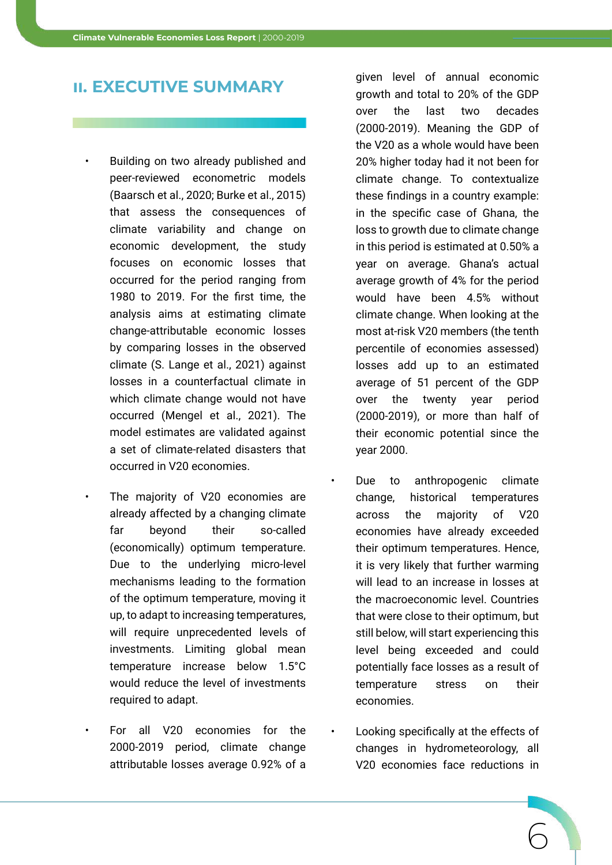#### **ii. EXECUTIVE SUMMARY**

- Building on two already published and peer-reviewed econometric models (Baarsch et al., 2020; Burke et al., 2015) that assess the consequences of climate variability and change on economic development, the study focuses on economic losses that occurred for the period ranging from 1980 to 2019. For the first time, the analysis aims at estimating climate change-attributable economic losses by comparing losses in the observed climate (S. Lange et al., 2021) against losses in a counterfactual climate in which climate change would not have occurred (Mengel et al., 2021). The model estimates are validated against a set of climate-related disasters that occurred in V20 economies.
	- The majority of V20 economies are already affected by a changing climate far beyond their so-called (economically) optimum temperature. Due to the underlying micro-level mechanisms leading to the formation of the optimum temperature, moving it up, to adapt to increasing temperatures, will require unprecedented levels of investments. Limiting global mean temperature increase below 1.5°C would reduce the level of investments required to adapt.
	- For all V20 economies for the 2000-2019 period, climate change attributable losses average 0.92% of a

given level of annual economic growth and total to 20% of the GDP over the last two decades (2000-2019). Meaning the GDP of the V20 as a whole would have been 20% higher today had it not been for climate change. To contextualize these findings in a country example: in the specific case of Ghana, the loss to growth due to climate change in this period is estimated at 0.50% a year on average. Ghana's actual average growth of 4% for the period would have been 4.5% without climate change. When looking at the most at-risk V20 members (the tenth percentile of economies assessed) losses add up to an estimated average of 51 percent of the GDP over the twenty year period (2000-2019), or more than half of their economic potential since the year 2000.

- Due to anthropogenic climate change, historical temperatures across the majority of V20 economies have already exceeded their optimum temperatures. Hence, it is very likely that further warming will lead to an increase in losses at the macroeconomic level. Countries that were close to their optimum, but still below, will start experiencing this level being exceeded and could potentially face losses as a result of temperature stress on their economies.
- Looking specifically at the effects of changes in hydrometeorology, all V20 economies face reductions in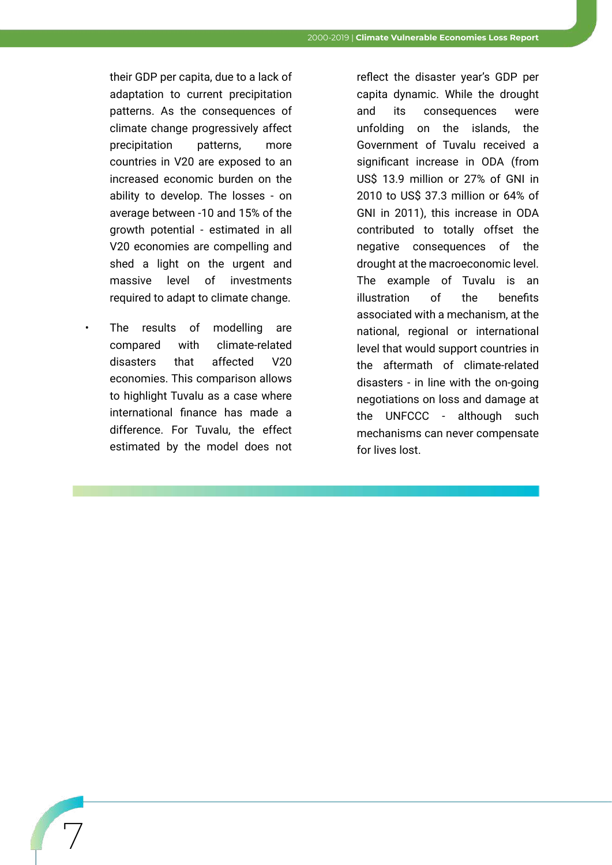their GDP per capita, due to a lack of adaptation to current precipitation patterns. As the consequences of climate change progressively affect precipitation patterns, more countries in V20 are exposed to an increased economic burden on the ability to develop. The losses - on average between -10 and 15% of the growth potential - estimated in all V20 economies are compelling and shed a light on the urgent and massive level of investments required to adapt to climate change.

The results of modelling are compared with climate-related disasters that affected V20 economies. This comparison allows to highlight Tuvalu as a case where international finance has made a difference. For Tuvalu, the effect estimated by the model does not

 $\sqrt{ }$ 

reflect the disaster year's GDP per capita dynamic. While the drought and its consequences were unfolding on the islands, the Government of Tuvalu received a significant increase in ODA (from US\$ 13.9 million or 27% of GNI in 2010 to US\$ 37.3 million or 64% of GNI in 2011), this increase in ODA contributed to totally offset the negative consequences of the drought at the macroeconomic level. The example of Tuvalu is an illustration of the benefits associated with a mechanism, at the national, regional or international level that would support countries in the aftermath of climate-related disasters - in line with the on-going negotiations on loss and damage at the UNFCCC - although such mechanisms can never compensate for lives lost.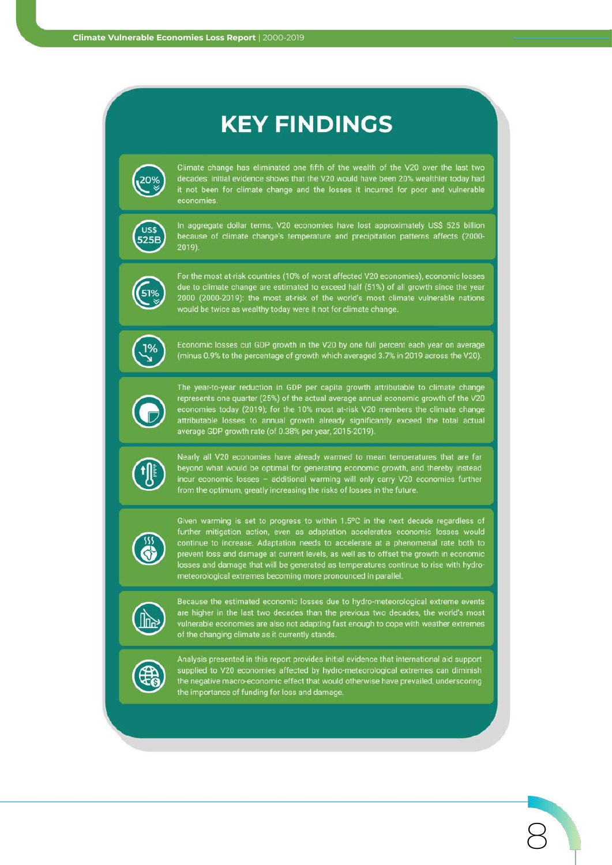## **KEY FINDINGS**



Climate change has eliminated one fifth of the wealth of the V20 over the last two decades: initial evidence shows that the V20 would have been 20% wealthier today had<br>it not been for climate change and the losses it incurred for poor and vulnerable economies.



In aggregate dollar terms, V20 economies have lost approximately US\$ 525 billion because of climate change's temperature and precipitation patterns affects (2000- $2019$ 



For the most at-risk countries (10% of worst affected V20 economies), economic losses due to climate change are estimated to exceed half (51%) of all growth since the year 2000 (2000-2019): the most at-risk of the world's most climate vulnerable nations would be twice as wealthy today were it not for climate change.



Economic losses cut GDP growth in the V20 by one full percent each year on average (minus 0.9% to the percentage of growth which averaged 3.7% in 2019 across the V20).



The year-to-year reduction in GDP per capita growth attributable to climate change represents one quarter (25%) of the actual average annual economic growth of the V20<br>economies today (2019); for the 10% most at-risk V20 members the climate change<br>attributable losses to annual growth already significantl



Nearly all V20 economies have already warmed to mean temperatures that are far beyond what would be optimal for generating economic growth, and thereby instead incur economic losses - additional warming will only carry V20 economies further<br>from the optimum, greatly increasing the risks of losses in the future.



Given warming is set to progress to within 1.5°C in the next decade regardless of further mitigation action, even as adaptation accelerates economic losses would continue to increase. Adaptation needs to accelerate at a phenomenal rate both to prevent loss and damage at current levels, as well as to offset the growth in economic losses and damage that will be generated as temperatu



Because the estimated economic losses due to hydro-meteorological extreme events are higher in the last two decades than the previous two decades, the world's most vulnerable economies are also not adapting fast enough to cope with weather extremes of the changing climate as it currently stands



Analysis presented in this report provides initial evidence that international aid support supplied to V20 economies affected by hydro-meteorological extremes can diminish the negative macro-economic effect that would otherwise have prevailed, underscoring the importance of funding for loss and damage.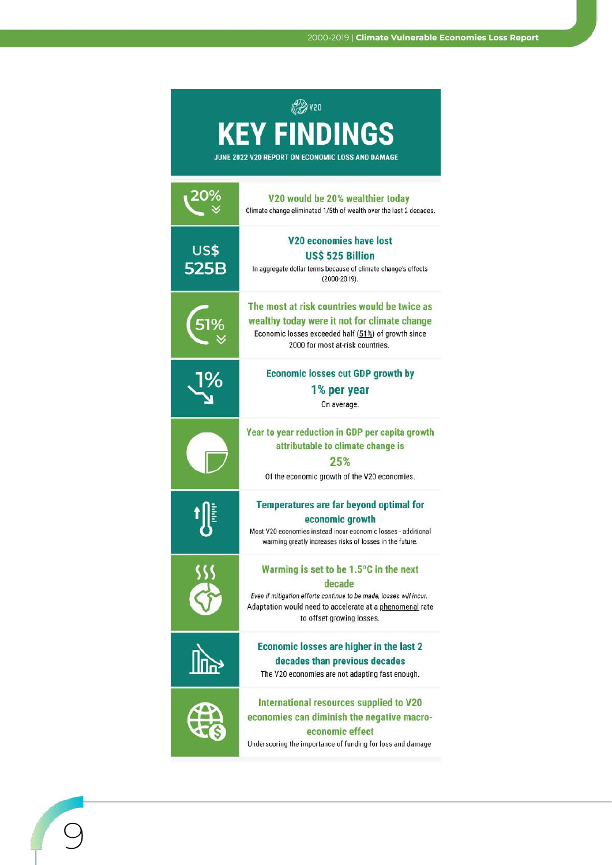| <b>PAV20</b>                                     |                                                                                                        |  |
|--------------------------------------------------|--------------------------------------------------------------------------------------------------------|--|
| <b>KEY FINDINGS</b>                              |                                                                                                        |  |
| JUNE 2022 V20 REPORT ON ECONOMIC LOSS AND DAMAGE |                                                                                                        |  |
|                                                  |                                                                                                        |  |
|                                                  | V20 would be 20% wealthier today<br>Climate change eliminated 1/5th of wealth over the last 2 decades. |  |
|                                                  | V20 economies have lost                                                                                |  |
| US\$                                             | US\$ 525 Billion                                                                                       |  |
| 525B                                             | In aggregate dollar terms because of climate change's effects<br>$(2000-2019)$ .                       |  |
|                                                  | The most at risk countries would be twice as                                                           |  |
| 51%                                              | wealthy today were it not for climate change                                                           |  |
|                                                  | Economic losses exceeded half (51%) of growth since<br>2000 for most at-risk countries.                |  |
| <u>l%</u>                                        | <b>Economic losses cut GDP growth by</b>                                                               |  |
|                                                  | 1% per year                                                                                            |  |
|                                                  | On average.                                                                                            |  |
|                                                  | Year to year reduction in GDP per capita growth                                                        |  |
|                                                  | attributable to climate change is                                                                      |  |
|                                                  | 25%                                                                                                    |  |
|                                                  | Of the economic growth of the V20 economies.                                                           |  |
|                                                  | Temperatures are far beyond optimal for                                                                |  |
|                                                  | economic growth<br>Most V20 economies instead incur economic losses - additional                       |  |
|                                                  | warming greatly increases risks of losses in the future.                                               |  |
|                                                  | Warming is set to be 1.5°C in the next                                                                 |  |
|                                                  | decade<br>Even if mitigation efforts continue to be made, losses will incur.                           |  |
|                                                  | Adaptation would need to accelerate at a phenomenal rate                                               |  |
|                                                  | to offset growing losses.                                                                              |  |
|                                                  | Economic losses are higher in the last 2                                                               |  |
|                                                  | decades than previous decades<br>The V20 economies are not adapting fast enough.                       |  |
|                                                  |                                                                                                        |  |
|                                                  | International resources supplied to V20<br>economies can diminish the negative macro-                  |  |
|                                                  | economic effect                                                                                        |  |
|                                                  | Underscoring the importance of funding for loss and damage                                             |  |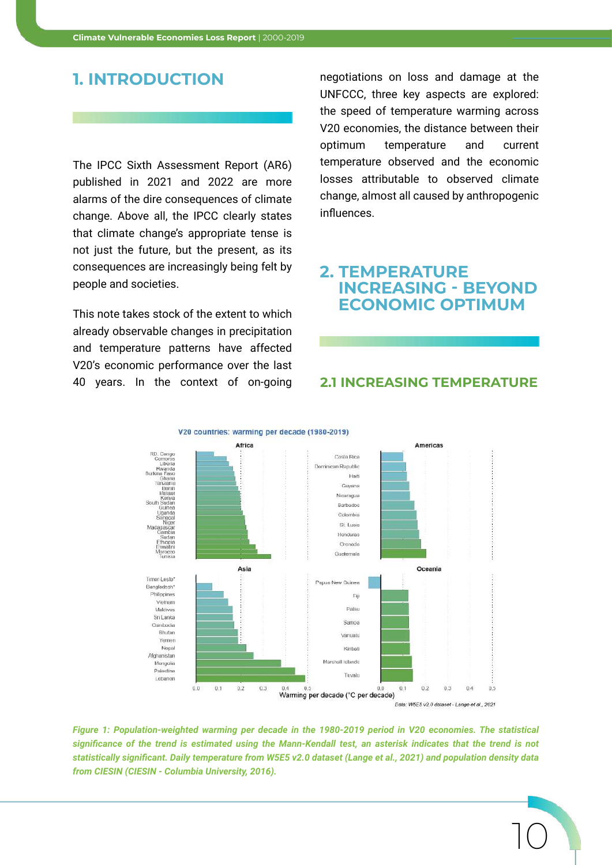#### **1. INTRODUCTION**

The IPCC Sixth Assessment Report (AR6) published in 2021 and 2022 are more alarms of the dire consequences of climate change. Above all, the IPCC clearly states that climate change's appropriate tense is not just the future, but the present, as its consequences are increasingly being felt by people and societies.

This note takes stock of the extent to which already observable changes in precipitation and temperature patterns have affected V20's economic performance over the last 40 years. In the context of on-going negotiations on loss and damage at the UNFCCC, three key aspects are explored: the speed of temperature warming across V20 economies, the distance between their optimum temperature and current temperature observed and the economic losses attributable to observed climate change, almost all caused by anthropogenic influences.

#### **2. TEMPERATURE INCREASING - BEYOND ECONOMIC OPTIMUM**

#### **2.1 INCREASING TEMPERATURE**

10



*Figure 1: Population-weighted warming per decade in the 1980-2019 period in V20 economies. The statistical significance of the trend is estimated using the Mann-Kendall test, an asterisk indicates that the trend is not statistically significant. Daily temperature from W5E5 v2.0 dataset (Lange et al., 2021) and population density data from CIESIN (CIESIN - Columbia University, 2016).*

V20 countries: warming per decade (1980-2019)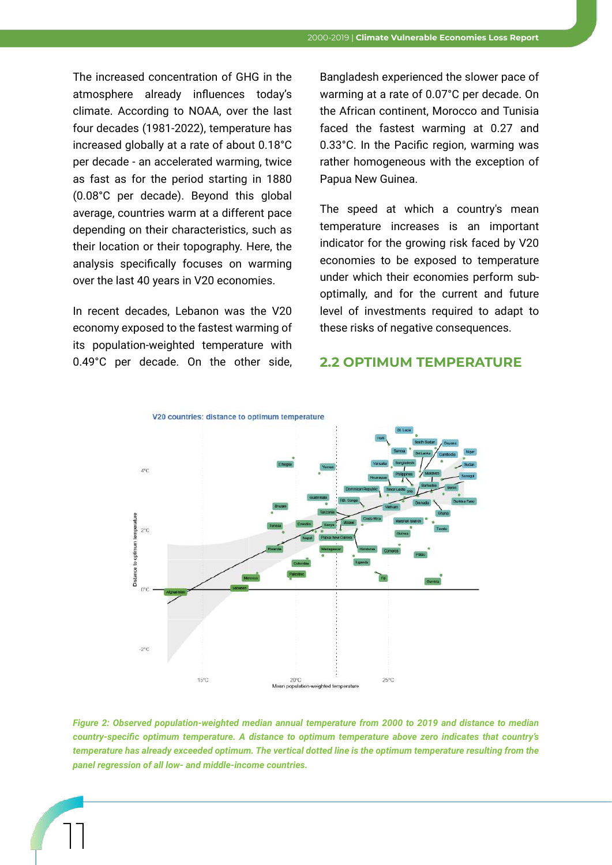The increased concentration of GHG in the atmosphere already influences today's climate. According to NOAA, over the last four decades (1981-2022), temperature has increased globally at a rate of about 0.18°C per decade - an accelerated warming, twice as fast as for the period starting in 1880 (0.08°C per decade). Beyond this global average, countries warm at a different pace depending on their characteristics, such as their location or their topography. Here, the analysis specifically focuses on warming over the last 40 years in V20 economies.

In recent decades, Lebanon was the V20 economy exposed to the fastest warming of its population-weighted temperature with 0.49°C per decade. On the other side, **2.2 OPTIMUM TEMPERATURE**

11

Bangladesh experienced the slower pace of warming at a rate of 0.07°C per decade. On the African continent, Morocco and Tunisia faced the fastest warming at 0.27 and 0.33°C. In the Pacific region, warming was rather homogeneous with the exception of Papua New Guinea.

The speed at which a country's mean temperature increases is an important indicator for the growing risk faced by V20 economies to be exposed to temperature under which their economies perform suboptimally, and for the current and future level of investments required to adapt to these risks of negative consequences.



*Figure 2: Observed population-weighted median annual temperature from 2000 to 2019 and distance to median country-specific optimum temperature. A distance to optimum temperature above zero indicates that country's temperature has already exceeded optimum. The vertical dotted line is the optimum temperature resulting from the panel regression of all low- and middle-income countries.*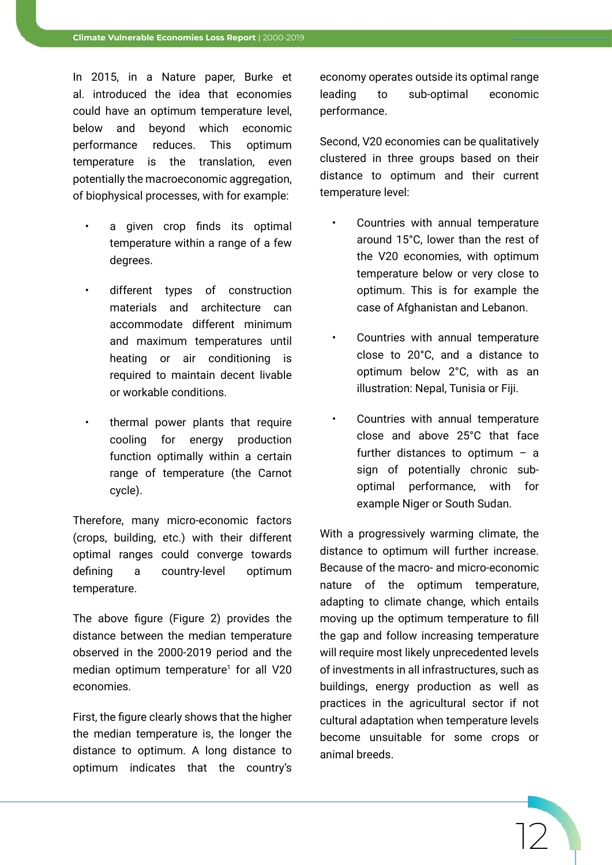In 2015, in a Nature paper, Burke et al. introduced the idea that economies could have an optimum temperature level, below and beyond which economic performance reduces. This optimum temperature is the translation, even potentially the macroeconomic aggregation, of biophysical processes, with for example:

- a given crop finds its optimal temperature within a range of a few degrees.
- different types of construction materials and architecture can accommodate different minimum and maximum temperatures until heating or air conditioning is required to maintain decent livable or workable conditions.
- thermal power plants that require cooling for energy production function optimally within a certain range of temperature (the Carnot cycle).

Therefore, many micro-economic factors (crops, building, etc.) with their different optimal ranges could converge towards defining a country-level optimum temperature.

The above figure (Figure 2) provides the distance between the median temperature observed in the 2000-2019 period and the median optimum temperature<sup>1</sup> for all V20 economies.

First, the figure clearly shows that the higher the median temperature is, the longer the distance to optimum. A long distance to optimum indicates that the country's

economy operates outside its optimal range leading to sub-optimal economic performance.

Second, V20 economies can be qualitatively clustered in three groups based on their distance to optimum and their current temperature level:

- Countries with annual temperature around 15°C, lower than the rest of the V20 economies, with optimum temperature below or very close to optimum. This is for example the case of Afghanistan and Lebanon.
- Countries with annual temperature close to 20°C, and a distance to optimum below 2°C, with as an illustration: Nepal, Tunisia or Fiji.
- Countries with annual temperature close and above 25°C that face further distances to optimum  $-$  a sign of potentially chronic suboptimal performance, with for example Niger or South Sudan.

With a progressively warming climate, the distance to optimum will further increase. Because of the macro- and micro-economic nature of the optimum temperature, adapting to climate change, which entails moving up the optimum temperature to fill the gap and follow increasing temperature will require most likely unprecedented levels of investments in all infrastructures, such as buildings, energy production as well as practices in the agricultural sector if not cultural adaptation when temperature levels become unsuitable for some crops or animal breeds.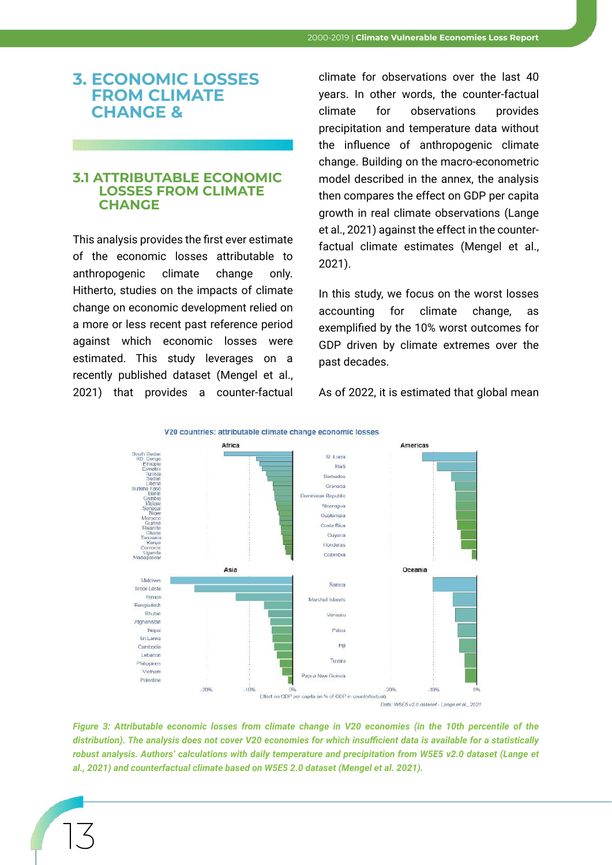#### **3. ECONOMIC LOSSES FROM CLIMATE CHANGE &**

#### **3.1 ATTRIBUTABLE ECONOMIC LOSSES FROM CLIMATE CHANGE**

This analysis provides the first ever estimate of the economic losses attributable to anthropogenic climate change only. Hitherto, studies on the impacts of climate change on economic development relied on a more or less recent past reference period against which economic losses were estimated. This study leverages on a recently published dataset (Mengel et al., 2021) that provides a counter-factual

13

climate for observations over the last 40 years. In other words, the counter-factual climate for observations provides precipitation and temperature data without the influence of anthropogenic climate change. Building on the macro-econometric model described in the annex, the analysis then compares the effect on GDP per capita growth in real climate observations (Lange et al., 2021) against the effect in the counterfactual climate estimates (Mengel et al., 2021).

In this study, we focus on the worst losses accounting for climate change, as exemplified by the 10% worst outcomes for GDP driven by climate extremes over the past decades.

As of 2022, it is estimated that global mean



*Figure 3: Attributable economic losses from climate change in V20 economies (in the 10th percentile of the distribution). The analysis does not cover V20 economies for which insufficient data is available for a statistically robust analysis. Authors' calculations with daily temperature and precipitation from W5E5 v2.0 dataset (Lange et al., 2021) and counterfactual climate based on W5E5 2.0 dataset (Mengel et al. 2021).*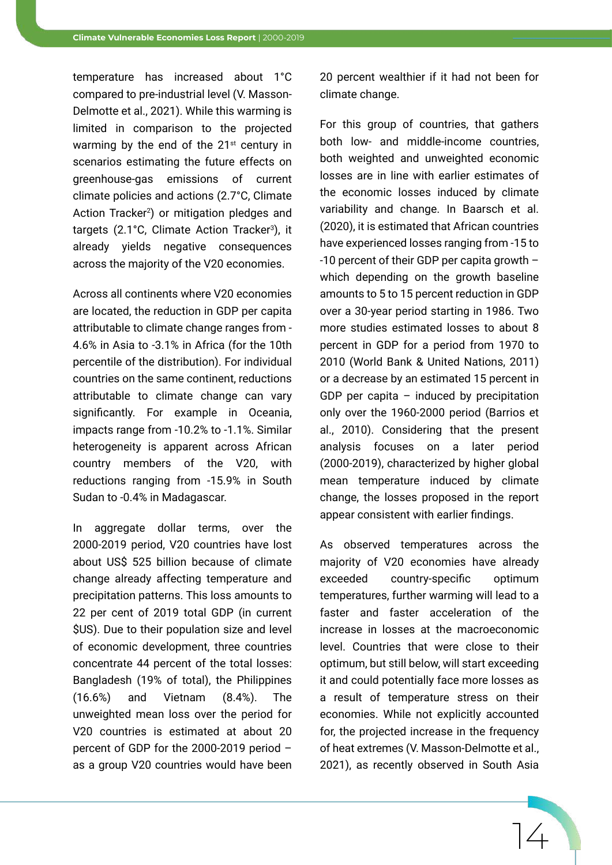temperature has increased about 1°C compared to pre-industrial level (V. Masson-Delmotte et al., 2021). While this warming is limited in comparison to the projected warming by the end of the  $21<sup>st</sup>$  century in scenarios estimating the future effects on greenhouse-gas emissions of current climate policies and actions (2.7°C, Climate Action Tracker<sup>2</sup>) or mitigation pledges and targets (2.1°C, Climate Action Tracker<sup>3</sup>), it already yields negative consequences across the majority of the V20 economies.

Across all continents where V20 economies are located, the reduction in GDP per capita attributable to climate change ranges from - 4.6% in Asia to -3.1% in Africa (for the 10th percentile of the distribution). For individual countries on the same continent, reductions attributable to climate change can vary significantly. For example in Oceania, impacts range from -10.2% to -1.1%. Similar heterogeneity is apparent across African country members of the V20, with reductions ranging from -15.9% in South Sudan to -0.4% in Madagascar.

In aggregate dollar terms, over the 2000-2019 period, V20 countries have lost about US\$ 525 billion because of climate change already affecting temperature and precipitation patterns. This loss amounts to 22 per cent of 2019 total GDP (in current \$US). Due to their population size and level of economic development, three countries concentrate 44 percent of the total losses: Bangladesh (19% of total), the Philippines (16.6%) and Vietnam (8.4%). The unweighted mean loss over the period for V20 countries is estimated at about 20 percent of GDP for the 2000-2019 period – as a group V20 countries would have been 20 percent wealthier if it had not been for climate change.

For this group of countries, that gathers both low- and middle-income countries, both weighted and unweighted economic losses are in line with earlier estimates of the economic losses induced by climate variability and change. In Baarsch et al. (2020), it is estimated that African countries have experienced losses ranging from -15 to -10 percent of their GDP per capita growth – which depending on the growth baseline amounts to 5 to 15 percent reduction in GDP over a 30-year period starting in 1986. Two more studies estimated losses to about 8 percent in GDP for a period from 1970 to 2010 (World Bank & United Nations, 2011) or a decrease by an estimated 15 percent in GDP per capita  $-$  induced by precipitation only over the 1960-2000 period (Barrios et al., 2010). Considering that the present analysis focuses on a later period (2000-2019), characterized by higher global mean temperature induced by climate change, the losses proposed in the report appear consistent with earlier findings.

As observed temperatures across the majority of V20 economies have already exceeded country-specific optimum temperatures, further warming will lead to a faster and faster acceleration of the increase in losses at the macroeconomic level. Countries that were close to their optimum, but still below, will start exceeding it and could potentially face more losses as a result of temperature stress on their economies. While not explicitly accounted for, the projected increase in the frequency of heat extremes (V. Masson-Delmotte et al., 2021), as recently observed in South Asia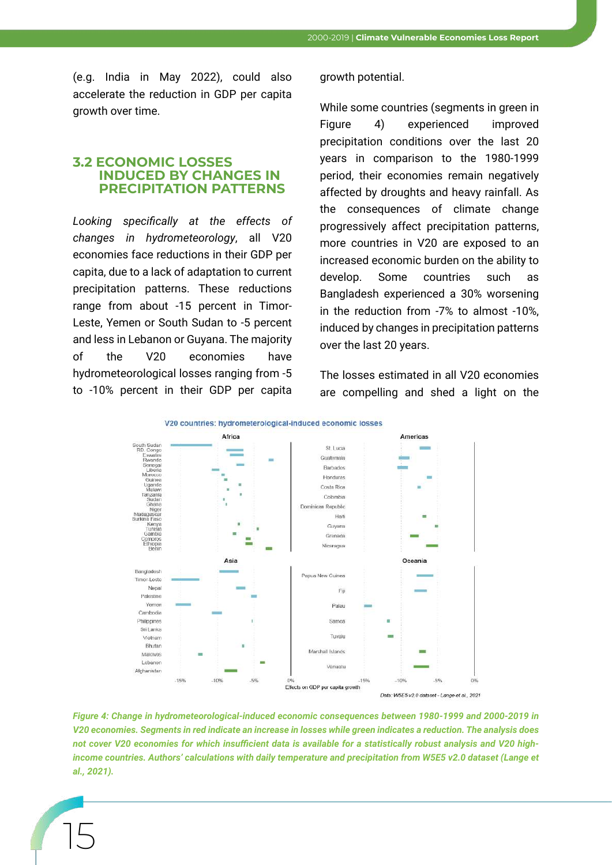(e.g. India in May 2022), could also accelerate the reduction in GDP per capita growth over time.

#### **3.2 ECONOMIC LOSSES INDUCED BY CHANGES IN PRECIPITATION PATTERNS**

*Looking specifically at the effects of changes in hydrometeorology*, all V20 economies face reductions in their GDP per capita, due to a lack of adaptation to current precipitation patterns. These reductions range from about -15 percent in Timor-Leste, Yemen or South Sudan to -5 percent and less in Lebanon or Guyana. The majority of the V20 economies have hydrometeorological losses ranging from -5 to -10% percent in their GDP per capita

15

growth potential.

While some countries (segments in green in Figure 4) experienced improved precipitation conditions over the last 20 years in comparison to the 1980-1999 period, their economies remain negatively affected by droughts and heavy rainfall. As the consequences of climate change progressively affect precipitation patterns, more countries in V20 are exposed to an increased economic burden on the ability to develop. Some countries such as Bangladesh experienced a 30% worsening in the reduction from -7% to almost -10%, induced by changes in precipitation patterns over the last 20 years.

The losses estimated in all V20 economies are compelling and shed a light on the



*Figure 4: Change in hydrometeorological-induced economic consequences between 1980-1999 and 2000-2019 in V20 economies. Segments in red indicate an increase in losses while green indicates a reduction. The analysis does not cover V20 economies for which insufficient data is available for a statistically robust analysis and V20 highincome countries. Authors' calculations with daily temperature and precipitation from W5E5 v2.0 dataset (Lange et al., 2021).*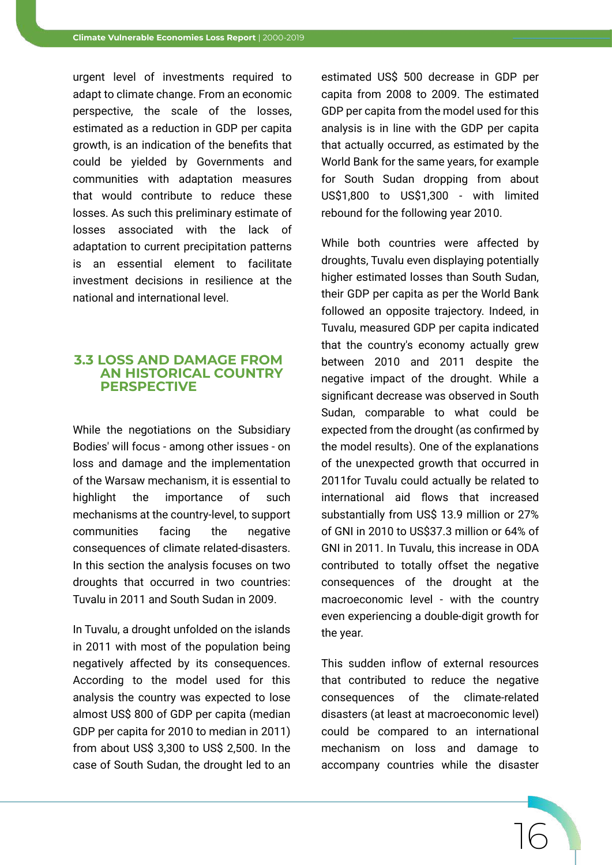urgent level of investments required to adapt to climate change. From an economic perspective, the scale of the losses, estimated as a reduction in GDP per capita growth, is an indication of the benefits that could be yielded by Governments and communities with adaptation measures that would contribute to reduce these losses. As such this preliminary estimate of losses associated with the lack of adaptation to current precipitation patterns is an essential element to facilitate investment decisions in resilience at the national and international level.

#### **3.3 LOSS AND DAMAGE FROM AN HISTORICAL COUNTRY PERSPECTIVE**

While the negotiations on the Subsidiary Bodies' will focus - among other issues - on loss and damage and the implementation of the Warsaw mechanism, it is essential to highlight the importance of such mechanisms at the country-level, to support communities facing the negative consequences of climate related-disasters. In this section the analysis focuses on two droughts that occurred in two countries: Tuvalu in 2011 and South Sudan in 2009.

In Tuvalu, a drought unfolded on the islands in 2011 with most of the population being negatively affected by its consequences. According to the model used for this analysis the country was expected to lose almost US\$ 800 of GDP per capita (median GDP per capita for 2010 to median in 2011) from about US\$ 3,300 to US\$ 2,500. In the case of South Sudan, the drought led to an

estimated US\$ 500 decrease in GDP per capita from 2008 to 2009. The estimated GDP per capita from the model used for this analysis is in line with the GDP per capita that actually occurred, as estimated by the World Bank for the same years, for example for South Sudan dropping from about US\$1,800 to US\$1,300 - with limited rebound for the following year 2010.

While both countries were affected by droughts, Tuvalu even displaying potentially higher estimated losses than South Sudan, their GDP per capita as per the World Bank followed an opposite trajectory. Indeed, in Tuvalu, measured GDP per capita indicated that the country's economy actually grew between 2010 and 2011 despite the negative impact of the drought. While a significant decrease was observed in South Sudan, comparable to what could be expected from the drought (as confirmed by the model results). One of the explanations of the unexpected growth that occurred in 2011for Tuvalu could actually be related to international aid flows that increased substantially from US\$ 13.9 million or 27% of GNI in 2010 to US\$37.3 million or 64% of GNI in 2011. In Tuvalu, this increase in ODA contributed to totally offset the negative consequences of the drought at the macroeconomic level - with the country even experiencing a double-digit growth for the year.

This sudden inflow of external resources that contributed to reduce the negative consequences of the climate-related disasters (at least at macroeconomic level) could be compared to an international mechanism on loss and damage to accompany countries while the disaster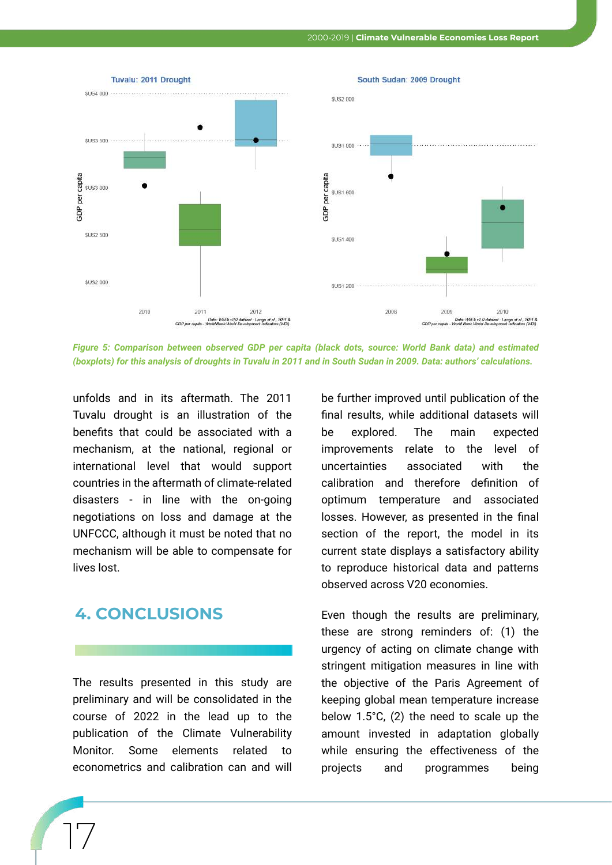

*Figure 5: Comparison between observed GDP per capita (black dots, source: World Bank data) and estimated (boxplots) for this analysis of droughts in Tuvalu in 2011 and in South Sudan in 2009. Data: authors' calculations.*

unfolds and in its aftermath. The 2011 Tuvalu drought is an illustration of the benefits that could be associated with a mechanism, at the national, regional or international level that would support countries in the aftermath of climate-related disasters - in line with the on-going negotiations on loss and damage at the UNFCCC, although it must be noted that no mechanism will be able to compensate for lives lost.

#### **4. CONCLUSIONS**

17

The results presented in this study are preliminary and will be consolidated in the course of 2022 in the lead up to the publication of the Climate Vulnerability Monitor. Some elements related to econometrics and calibration can and will

be further improved until publication of the final results, while additional datasets will be explored. The main expected improvements relate to the level of uncertainties associated with the calibration and therefore definition of optimum temperature and associated losses. However, as presented in the final section of the report, the model in its current state displays a satisfactory ability to reproduce historical data and patterns observed across V20 economies.

Even though the results are preliminary, these are strong reminders of: (1) the urgency of acting on climate change with stringent mitigation measures in line with the objective of the Paris Agreement of keeping global mean temperature increase below 1.5°C, (2) the need to scale up the amount invested in adaptation globally while ensuring the effectiveness of the projects and programmes being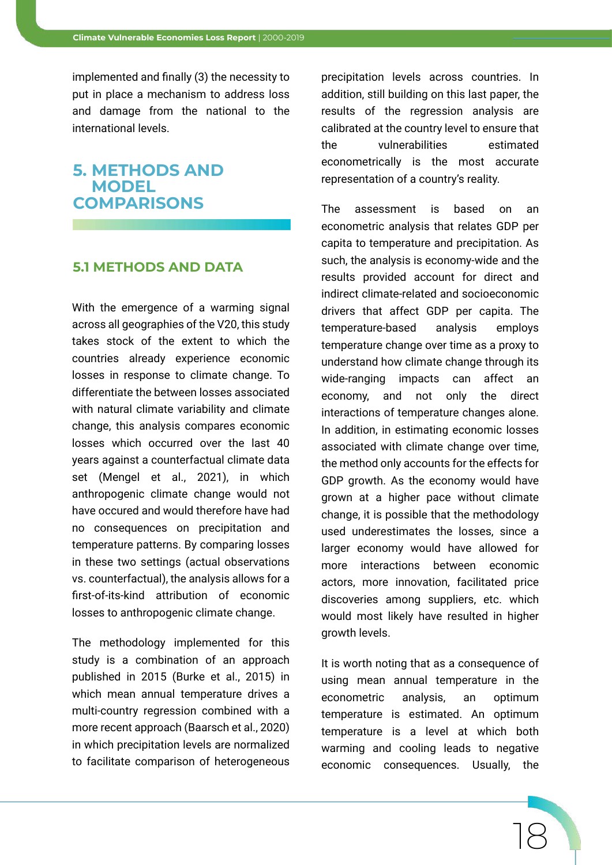implemented and finally (3) the necessity to put in place a mechanism to address loss and damage from the national to the international levels.

#### **5. METHODS AND MODEL COMPARISONS**

#### **5.1 METHODS AND DATA**

With the emergence of a warming signal across all geographies of the V20, this study takes stock of the extent to which the countries already experience economic losses in response to climate change. To differentiate the between losses associated with natural climate variability and climate change, this analysis compares economic losses which occurred over the last 40 years against a counterfactual climate data set (Mengel et al., 2021), in which anthropogenic climate change would not have occured and would therefore have had no consequences on precipitation and temperature patterns. By comparing losses in these two settings (actual observations vs. counterfactual), the analysis allows for a first-of-its-kind attribution of economic losses to anthropogenic climate change.

The methodology implemented for this study is a combination of an approach published in 2015 (Burke et al., 2015) in which mean annual temperature drives a multi-country regression combined with a more recent approach (Baarsch et al., 2020) in which precipitation levels are normalized to facilitate comparison of heterogeneous

precipitation levels across countries. In addition, still building on this last paper, the results of the regression analysis are calibrated at the country level to ensure that the vulnerabilities estimated econometrically is the most accurate representation of a country's reality.

The assessment is based on an econometric analysis that relates GDP per capita to temperature and precipitation. As such, the analysis is economy-wide and the results provided account for direct and indirect climate-related and socioeconomic drivers that affect GDP per capita. The temperature-based analysis employs temperature change over time as a proxy to understand how climate change through its wide-ranging impacts can affect an economy, and not only the direct interactions of temperature changes alone. In addition, in estimating economic losses associated with climate change over time, the method only accounts for the effects for GDP growth. As the economy would have grown at a higher pace without climate change, it is possible that the methodology used underestimates the losses, since a larger economy would have allowed for more interactions between economic actors, more innovation, facilitated price discoveries among suppliers, etc. which would most likely have resulted in higher growth levels.

It is worth noting that as a consequence of using mean annual temperature in the econometric analysis, an optimum temperature is estimated. An optimum temperature is a level at which both warming and cooling leads to negative economic consequences. Usually, the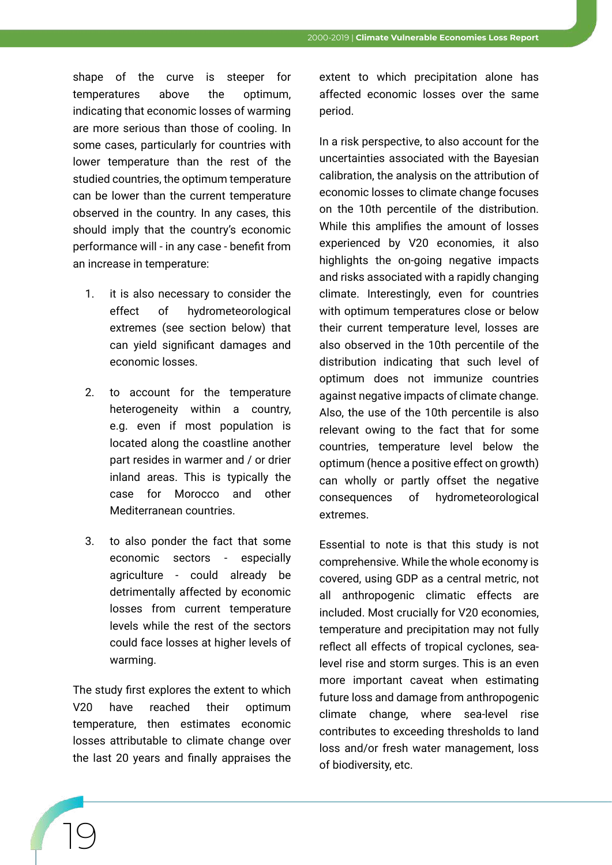shape of the curve is steeper for temperatures above the optimum, indicating that economic losses of warming are more serious than those of cooling. In some cases, particularly for countries with lower temperature than the rest of the studied countries, the optimum temperature can be lower than the current temperature observed in the country. In any cases, this should imply that the country's economic performance will - in any case - benefit from an increase in temperature:

- 1. it is also necessary to consider the effect of hydrometeorological extremes (see section below) that can yield significant damages and economic losses.
- 2. to account for the temperature heterogeneity within a country, e.g. even if most population is located along the coastline another part resides in warmer and / or drier inland areas. This is typically the case for Morocco and other Mediterranean countries.
- 3. to also ponder the fact that some economic sectors - especially agriculture - could already be detrimentally affected by economic losses from current temperature levels while the rest of the sectors could face losses at higher levels of warming.

The study first explores the extent to which V20 have reached their optimum temperature, then estimates economic losses attributable to climate change over the last 20 years and finally appraises the

extent to which precipitation alone has affected economic losses over the same period.

In a risk perspective, to also account for the uncertainties associated with the Bayesian calibration, the analysis on the attribution of economic losses to climate change focuses on the 10th percentile of the distribution. While this amplifies the amount of losses experienced by V20 economies, it also highlights the on-going negative impacts and risks associated with a rapidly changing climate. Interestingly, even for countries with optimum temperatures close or below their current temperature level, losses are also observed in the 10th percentile of the distribution indicating that such level of optimum does not immunize countries against negative impacts of climate change. Also, the use of the 10th percentile is also relevant owing to the fact that for some countries, temperature level below the optimum (hence a positive effect on growth) can wholly or partly offset the negative consequences of hydrometeorological extremes.

Essential to note is that this study is not comprehensive. While the whole economy is covered, using GDP as a central metric, not all anthropogenic climatic effects are included. Most crucially for V20 economies, temperature and precipitation may not fully reflect all effects of tropical cyclones, sealevel rise and storm surges. This is an even more important caveat when estimating future loss and damage from anthropogenic climate change, where sea-level rise contributes to exceeding thresholds to land loss and/or fresh water management, loss of biodiversity, etc.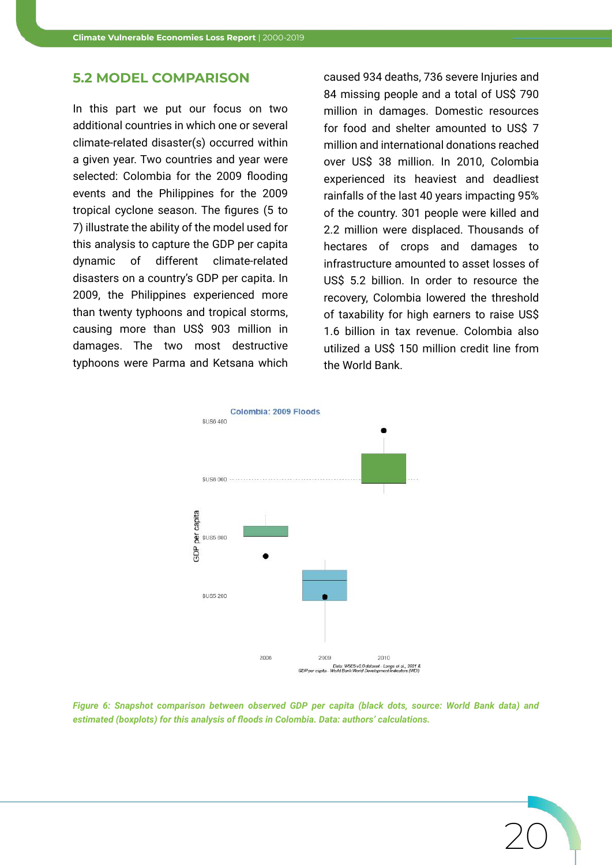#### **5.2 MODEL COMPARISON**

In this part we put our focus on two additional countries in which one or several climate-related disaster(s) occurred within a given year. Two countries and year were selected: Colombia for the 2009 flooding events and the Philippines for the 2009 tropical cyclone season. The figures (5 to 7) illustrate the ability of the model used for this analysis to capture the GDP per capita dynamic of different climate-related disasters on a country's GDP per capita. In 2009, the Philippines experienced more than twenty typhoons and tropical storms, causing more than US\$ 903 million in damages. The two most destructive typhoons were Parma and Ketsana which

caused 934 deaths, 736 severe Injuries and 84 missing people and a total of US\$ 790 million in damages. Domestic resources for food and shelter amounted to US\$ 7 million and international donations reached over US\$ 38 million. In 2010, Colombia experienced its heaviest and deadliest rainfalls of the last 40 years impacting 95% of the country. 301 people were killed and 2.2 million were displaced. Thousands of hectares of crops and damages to infrastructure amounted to asset losses of US\$ 5.2 billion. In order to resource the recovery, Colombia lowered the threshold of taxability for high earners to raise US\$ 1.6 billion in tax revenue. Colombia also utilized a US\$ 150 million credit line from the World Bank.

20



*Figure 6: Snapshot comparison between observed GDP per capita (black dots, source: World Bank data) and estimated (boxplots) for this analysis of floods in Colombia. Data: authors' calculations.*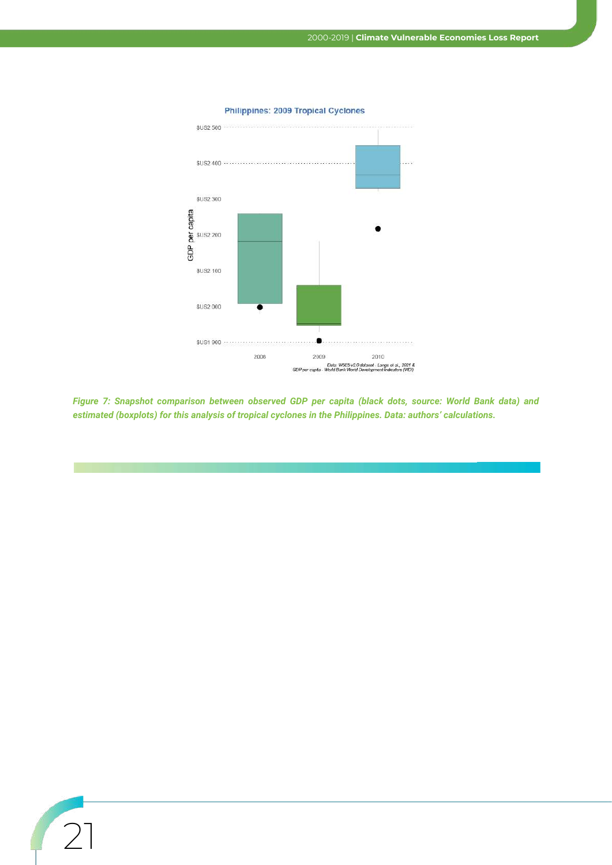

#### Philippines: 2009 Tropical Cyclones

*Figure 7: Snapshot comparison between observed GDP per capita (black dots, source: World Bank data) and estimated (boxplots) for this analysis of tropical cyclones in the Philippines. Data: authors' calculations.*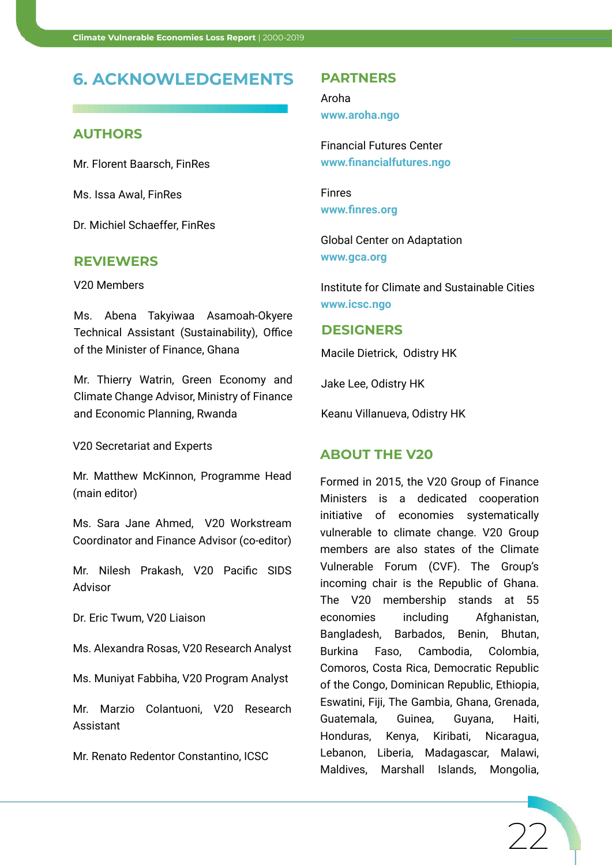#### **6. ACKNOWLEDGEMENTS**

#### **AUTHORS**

Mr. Florent Baarsch, FinRes

Ms. Issa Awal, FinRes

Dr. Michiel Schaeffer, FinRes

#### **REVIEWERS**

V20 Members

Ms. Abena Takyiwaa Asamoah-Okyere Technical Assistant (Sustainability), Office of the Minister of Finance, Ghana

Mr. Thierry Watrin, Green Economy and Climate Change Advisor, Ministry of Finance and Economic Planning, Rwanda

V20 Secretariat and Experts

Mr. Matthew McKinnon, Programme Head (main editor)

Ms. Sara Jane Ahmed, V20 Workstream Coordinator and Finance Advisor (co-editor)

Mr. Nilesh Prakash, V20 Pacific SIDS Advisor

Dr. Eric Twum, V20 Liaison

Ms. Alexandra Rosas, V20 Research Analyst

Ms. Muniyat Fabbiha, V20 Program Analyst

Mr. Marzio Colantuoni, V20 Research Assistant

Mr. Renato Redentor Constantino, ICSC

#### **PARTNERS**

Aroha **www.aroha.ngo**

Financial Futures Center **www.financialfutures.ngo**

Finres **www.finres.org**

Global Center on Adaptation **www.gca.org**

Institute for Climate and Sustainable Cities **www.icsc.ngo**

#### **DESIGNERS**

Macile Dietrick, Odistry HK

Jake Lee, Odistry HK

Keanu Villanueva, Odistry HK

#### **ABOUT THE V20**

Formed in 2015, the V20 Group of Finance Ministers is a dedicated cooperation initiative of economies systematically vulnerable to climate change. V20 Group members are also states of the Climate Vulnerable Forum (CVF). The Group's incoming chair is the Republic of Ghana. The V20 membership stands at 55 economies including Afghanistan, Bangladesh, Barbados, Benin, Bhutan, Burkina Faso, Cambodia, Colombia, Comoros, Costa Rica, Democratic Republic of the Congo, Dominican Republic, Ethiopia, Eswatini, Fiji, The Gambia, Ghana, Grenada, Guatemala, Guinea, Guyana, Haiti, Honduras, Kenya, Kiribati, Nicaragua, Lebanon, Liberia, Madagascar, Malawi, Maldives, Marshall Islands, Mongolia,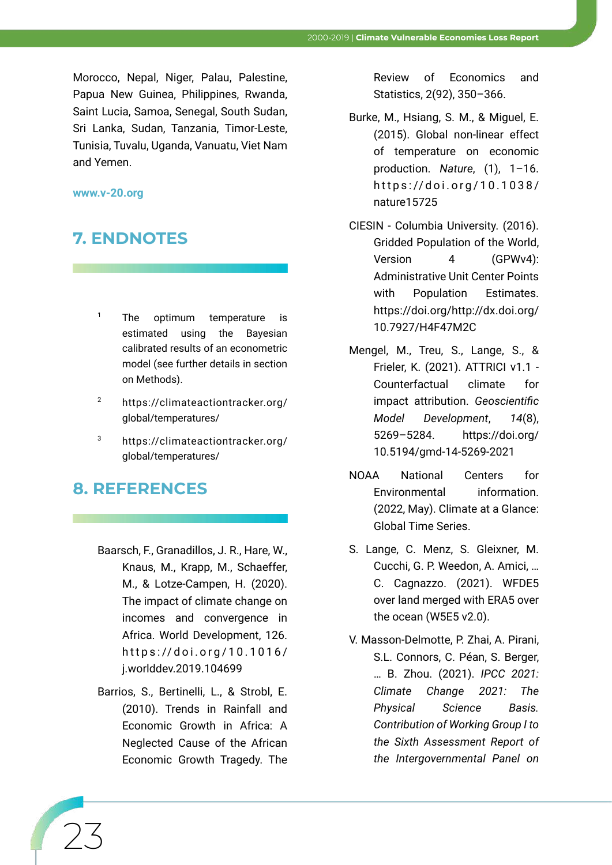Morocco, Nepal, Niger, Palau, Palestine, Papua New Guinea, Philippines, Rwanda, Saint Lucia, Samoa, Senegal, South Sudan, Sri Lanka, Sudan, Tanzania, Timor-Leste, Tunisia, Tuvalu, Uganda, Vanuatu, Viet Nam and Yemen.

#### **www.v-20.org**

### **7. ENDNOTES**

- <sup>1</sup> The optimum temperature is estimated using the Bayesian calibrated results of an econometric model (see further details in section on Methods).
- <sup>2</sup> https://climateactiontracker.org/ global/temperatures/
- <sup>3</sup> https://climateactiontracker.org/ global/temperatures/

#### **8. REFERENCES**

23

- Baarsch, F., Granadillos, J. R., Hare, W., Knaus, M., Krapp, M., Schaeffer, M., & Lotze-Campen, H. (2020). The impact of climate change on incomes and convergence in Africa. World Development, 126. https://doi.org/10.1016/ j.worlddev.2019.104699
- Barrios, S., Bertinelli, L., & Strobl, E. (2010). Trends in Rainfall and Economic Growth in Africa: A Neglected Cause of the African Economic Growth Tragedy. The

Review of Economics and Statistics, 2(92), 350–366.

- Burke, M., Hsiang, S. M., & Miguel, E. (2015). Global non-linear effect of temperature on economic production. *Nature*, (1), 1–16. https://doi.org/10.1038/ nature15725
- CIESIN Columbia University. (2016). Gridded Population of the World, Version 4 (GPWv4): Administrative Unit Center Points with Population Estimates. https://doi.org/http://dx.doi.org/ 10.7927/H4F47M2C
- Mengel, M., Treu, S., Lange, S., & Frieler, K. (2021). ATTRICI v1.1 - Counterfactual climate for impact attribution. *Geoscientific Model Development*, *14*(8), 5269–5284. https://doi.org/ 10.5194/gmd-14-5269-2021
- NOAA National Centers for Environmental information. (2022, May). Climate at a Glance: Global Time Series.
- S. Lange, C. Menz, S. Gleixner, M. Cucchi, G. P. Weedon, A. Amici, … C. Cagnazzo. (2021). WFDE5 over land merged with ERA5 over the ocean (W5E5 v2.0).
- V. Masson-Delmotte, P. Zhai, A. Pirani, S.L. Connors, C. Péan, S. Berger, … B. Zhou. (2021). *IPCC 2021: Climate Change 2021: The Physical Science Basis. Contribution of Working Group I to the Sixth Assessment Report of the Intergovernmental Panel on*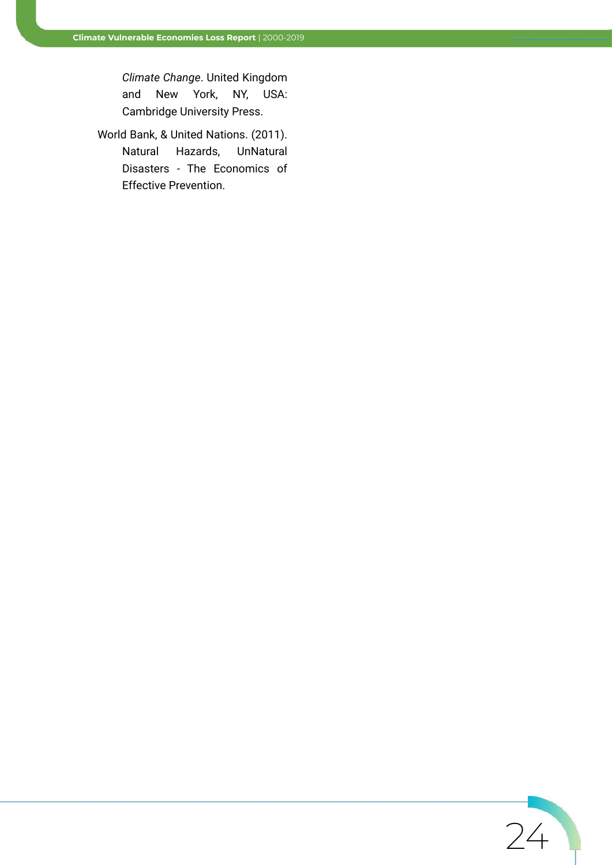*Climate Change*. United Kingdom and New York, NY, USA: Cambridge University Press.

World Bank, & United Nations. (2011). Natural Hazards, UnNatural Disasters - The Economics of Effective Prevention.